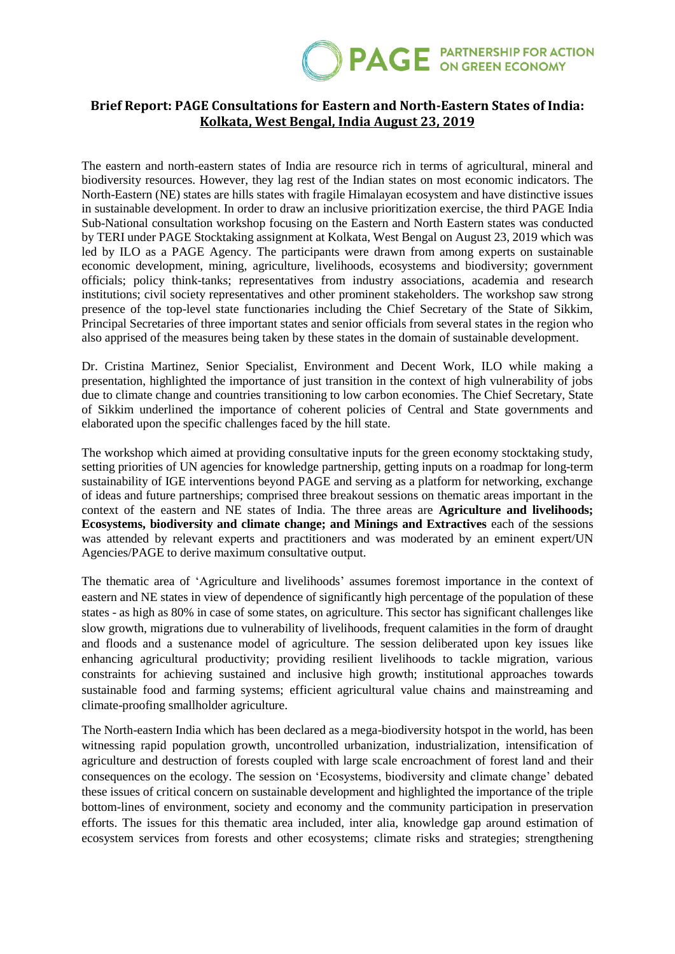

## **Brief Report: PAGE Consultations for Eastern and North-Eastern States of India: Kolkata, West Bengal, India August 23, 2019**

The eastern and north-eastern states of India are resource rich in terms of agricultural, mineral and biodiversity resources. However, they lag rest of the Indian states on most economic indicators. The North-Eastern (NE) states are hills states with fragile Himalayan ecosystem and have distinctive issues in sustainable development. In order to draw an inclusive prioritization exercise, the third PAGE India Sub-National consultation workshop focusing on the Eastern and North Eastern states was conducted by TERI under PAGE Stocktaking assignment at Kolkata, West Bengal on August 23, 2019 which was led by ILO as a PAGE Agency. The participants were drawn from among experts on sustainable economic development, mining, agriculture, livelihoods, ecosystems and biodiversity; government officials; policy think-tanks; representatives from industry associations, academia and research institutions; civil society representatives and other prominent stakeholders. The workshop saw strong presence of the top-level state functionaries including the Chief Secretary of the State of Sikkim, Principal Secretaries of three important states and senior officials from several states in the region who also apprised of the measures being taken by these states in the domain of sustainable development.

Dr. Cristina Martinez, Senior Specialist, Environment and Decent Work, ILO while making a presentation, highlighted the importance of just transition in the context of high vulnerability of jobs due to climate change and countries transitioning to low carbon economies. The Chief Secretary, State of Sikkim underlined the importance of coherent policies of Central and State governments and elaborated upon the specific challenges faced by the hill state.

The workshop which aimed at providing consultative inputs for the green economy stocktaking study, setting priorities of UN agencies for knowledge partnership, getting inputs on a roadmap for long-term sustainability of IGE interventions beyond PAGE and serving as a platform for networking, exchange of ideas and future partnerships; comprised three breakout sessions on thematic areas important in the context of the eastern and NE states of India. The three areas are **Agriculture and livelihoods; Ecosystems, biodiversity and climate change; and Minings and Extractives** each of the sessions was attended by relevant experts and practitioners and was moderated by an eminent expert/UN Agencies/PAGE to derive maximum consultative output.

The thematic area of 'Agriculture and livelihoods' assumes foremost importance in the context of eastern and NE states in view of dependence of significantly high percentage of the population of these states - as high as 80% in case of some states, on agriculture. This sector has significant challenges like slow growth, migrations due to vulnerability of livelihoods, frequent calamities in the form of draught and floods and a sustenance model of agriculture. The session deliberated upon key issues like enhancing agricultural productivity; providing resilient livelihoods to tackle migration, various constraints for achieving sustained and inclusive high growth; institutional approaches towards sustainable food and farming systems; efficient agricultural value chains and mainstreaming and climate-proofing smallholder agriculture.

The North-eastern India which has been declared as a mega-biodiversity hotspot in the world, has been witnessing rapid population growth, uncontrolled urbanization, industrialization, intensification of agriculture and destruction of forests coupled with large scale encroachment of forest land and their consequences on the ecology. The session on 'Ecosystems, biodiversity and climate change' debated these issues of critical concern on sustainable development and highlighted the importance of the triple bottom-lines of environment, society and economy and the community participation in preservation efforts. The issues for this thematic area included, inter alia, knowledge gap around estimation of ecosystem services from forests and other ecosystems; climate risks and strategies; strengthening